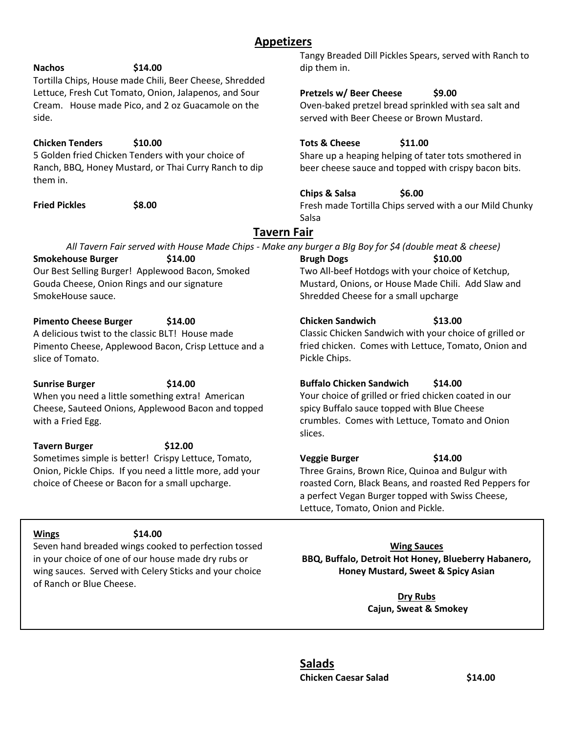# **Appetizers**

### **Nachos \$14.00**

Tortilla Chips, House made Chili, Beer Cheese, Shredded Lettuce, Fresh Cut Tomato, Onion, Jalapenos, and Sour Cream. House made Pico, and 2 oz Guacamole on the side.

#### **Chicken Tenders \$10.00**

5 Golden fried Chicken Tenders with your choice of Ranch, BBQ, Honey Mustard, or Thai Curry Ranch to dip them in.

**Fried Pickles \$8.00**

Tangy Breaded Dill Pickles Spears, served with Ranch to dip them in.

## **Pretzels w/ Beer Cheese \$9.00**

Oven-baked pretzel bread sprinkled with sea salt and served with Beer Cheese or Brown Mustard.

### **Tots & Cheese \$11.00**

Share up a heaping helping of tater tots smothered in beer cheese sauce and topped with crispy bacon bits.

### **Chips & Salsa \$6.00**

Fresh made Tortilla Chips served with a our Mild Chunky Salsa

# **Tavern Fair**

| All Tavern Fair served with House Made Chips - Make any burger a Blg Boy for \$4 (double meat & cheese) |         |                                                    |         |
|---------------------------------------------------------------------------------------------------------|---------|----------------------------------------------------|---------|
| <b>Smokehouse Burger</b>                                                                                | \$14.00 | <b>Brugh Dogs</b>                                  | \$10.00 |
| Our Best Selling Burger! Applewood Bacon, Smoked                                                        |         | Two All-beef Hotdogs with your choice of Ketchup,  |         |
| Gouda Cheese, Onion Rings and our signature                                                             |         | Mustard, Onions, or House Made Chili. Add Slaw and |         |
| SmokeHouse sauce.                                                                                       |         | Shredded Cheese for a small upcharge               |         |

#### **Pimento Cheese Burger \$14.00**

A delicious twist to the classic BLT! House made Pimento Cheese, Applewood Bacon, Crisp Lettuce and a slice of Tomato.

**Sunrise Burger \$14.00** When you need a little something extra! American Cheese, Sauteed Onions, Applewood Bacon and topped with a Fried Egg.

**Tavern Burger \$12.00** Sometimes simple is better! Crispy Lettuce, Tomato, Onion, Pickle Chips. If you need a little more, add your choice of Cheese or Bacon for a small upcharge.

#### **Buffalo Chicken Sandwich \$14.00**

**Chicken Sandwich \$13.00**

Your choice of grilled or fried chicken coated in our spicy Buffalo sauce topped with Blue Cheese crumbles. Comes with Lettuce, Tomato and Onion slices.

Classic Chicken Sandwich with your choice of grilled or fried chicken. Comes with Lettuce, Tomato, Onion and

#### **Veggie Burger \$14.00**

Pickle Chips.

Three Grains, Brown Rice, Quinoa and Bulgur with roasted Corn, Black Beans, and roasted Red Peppers for a perfect Vegan Burger topped with Swiss Cheese, Lettuce, Tomato, Onion and Pickle.

**Wing Sauces BBQ, Buffalo, Detroit Hot Honey, Blueberry Habanero, Honey Mustard, Sweet & Spicy Asian**

> **Dry Rubs Cajun, Sweat & Smokey**

## **Salads Chicken Caesar Salad \$14.00**

#### **Wings \$14.00**

Seven hand breaded wings cooked to perfection tossed in your choice of one of our house made dry rubs or wing sauces. Served with Celery Sticks and your choice of Ranch or Blue Cheese.